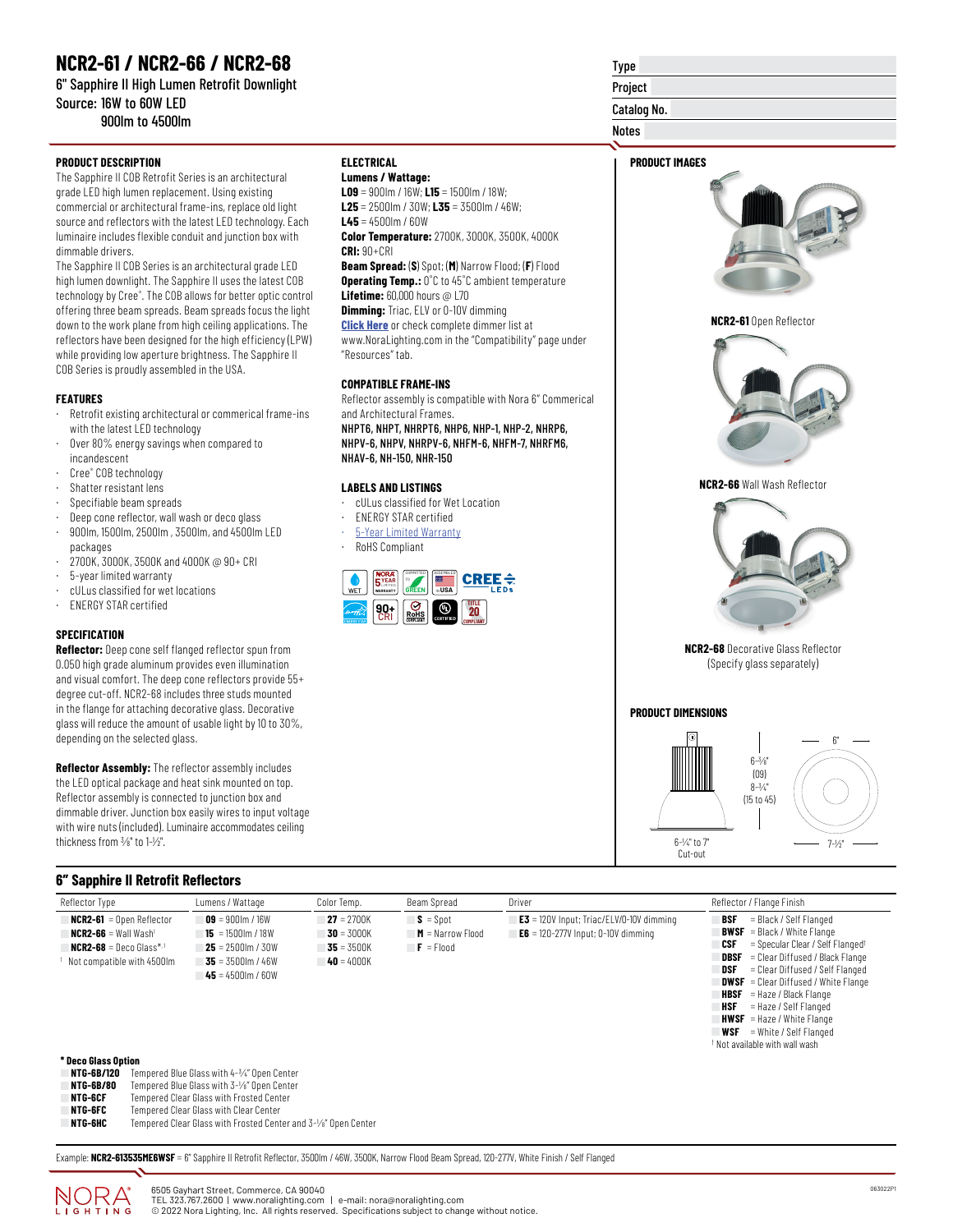# **NCR2-61 / NCR2-66 / NCR2-68**

6" Sapphire II High Lumen Retrofit Downlight Source: 16W to 60W LED 900lm to 4500lm

#### **PRODUCT DESCRIPTION PRODUCT IMAGES**

The Sapphire II COB Retrofit Series is an architectural grade LED high lumen replacement. Using existing commercial or architectural frame-ins, replace old light source and reflectors with the latest LED technology. Each luminaire includes flexible conduit and junction box with dimmable drivers.

The Sapphire II COB Series is an architectural grade LED high lumen downlight. The Sapphire II uses the latest COB technology by Cree® . The COB allows for better optic control offering three beam spreads. Beam spreads focus the light down to the work plane from high ceiling applications. The reflectors have been designed for the high efficiency (LPW) while providing low aperture brightness. The Sapphire II COB Series is proudly assembled in the USA.

#### **FEATURES**

- Retrofit existing architectural or commerical frame-ins with the latest LED technology
- Over 80% energy savings when compared to incandescent
- · Cree® COB technology
- · Shatter resistant lens
- · Specifiable beam spreads
- Deep cone reflector, wall wash or deco glass
- · 900lm, 1500lm, 2500lm , 3500lm, and 4500lm LED packages
- · 2700K, 3000K, 3500K and 4000K @ 90+ CRI
- · 5-year limited warranty
- · cULus classified for wet locations
- · ENERGY STAR certified

#### **SPECIFICATION**

**Reflector:** Deep cone self flanged reflector spun from 0.050 high grade aluminum provides even illumination and visual comfort. The deep cone reflectors provide 55+ degree cut-off. NCR2-68 includes three studs mounted in the flange for attaching decorative glass. Decorative glass will reduce the amount of usable light by 10 to 30%, depending on the selected glass.

**Reflector Assembly:** The reflector assembly includes the LED optical package and heat sink mounted on top. Reflector assembly is connected to junction box and dimmable driver. Junction box easily wires to input voltage with wire nuts (included). Luminaire accommodates ceiling thickness from  $\frac{3}{8}$ " to 1- $\frac{1}{2}$ ".

#### **6" Sapphire II Retrofit Reflectors**

| Reflector Type |                                     |
|----------------|-------------------------------------|
|                | $NCR2-61 = Open Reflection$         |
|                | $NCR2-66 =$ Wall Wash <sup>1</sup>  |
|                | $NCR2-68 = \text{Deco Glass}^{*,1}$ |
|                | Not compatible with 4500lm          |
|                |                                     |

#### $\overline{09}$  = 900lm / 16W  $\blacksquare$  **15** = 1500lm / 18W  $\overline{\mathbf{25}} = 2500 \text{Im } 730 \text{W}$  $35 = 3500$  m / 46W  $-45 = 4500$ lm / 60W

 $27 = 2700K$  $30 = 3000K$  $\overline{35} = 3500K$  $S =$ Spot  **M** = Narrow Flood  $\mathbf{F} = \mathsf{F}$ lood

#### Lumens / Wattage Color Temp. Beam Spread Driver Color Temp. Beam Spread Driver Color Annual Reflector / Flange Finish **E3** = 120V Input; Triac/ELV/0-10V dimming **E6** = 120-277V Input; 0-10V dimming

#### **BSF** = Black / Self Flanged **BWSF** = Black / White Flange<br>**CSF** = Specular Clear / Self F **CSF** = Specular Clear / Self Flanged<sup>†</sup><br>| DBSF = Clear Diffused / Black Flange **DBSF** = Clear Diffused / Black Flange<br>**DSF** = Clear Diffused / Self Flanged  $=$  Clear Diffused / Self Flanged **DWSF** = Clear Diffused / White Flange **HBSF** = Haze / Black Flange

**HSF** = Haze / Self Flanged **HWSF** = Haze / White Flange **WSF** = White / Self Flanged † Not available with wall wash

**\* Deco Glass Option NTG-6B/120** Tempered Blue Glass with 4-34" Open Center<br>**NTG-6B/80** Tempered Blue Glass with 3-1/<sub>9</sub>" Open Center

- **NTG-6B/80** Tempered Blue Glass with 3-1/8" Open Center
- 
- **NTG-6CF** Tempered Clear Glass with Frosted Center<br>**NTG-6FC** Tempered Clear Glass with Clear Center
- **NTG-6FC** Tempered Clear Glass with Clear Center<br>**NTG-6HC** Tempered Clear Glass with Frosted Cent Tempered Clear Glass with Frosted Center and 3-1/8" Open Center

Example: **NCR2-613535ME6WSF** = 6" Sapphire II Retrofit Reflector, 3500lm / 46W, 3500K, Narrow Flood Beam Spread, 120-277V, White Finish / Self Flanged

 $-40 = 4000K$ 



#### **ELECTRICAL Lumens / Wattage:**

**L09** = 900lm / 16W; **L15** = 1500lm / 18W; **L25** = 2500lm / 30W; **L35** = 3500lm / 46W; **L45** = 4500lm / 60W **Color Temperature:** 2700K, 3000K, 3500K, 4000K **CRI:** 90+CRI **Beam Spread:** (**S**) Spot; (**M**) Narrow Flood; (**F**) Flood **Operating Temp.:** 0˚C to 45˚C ambient temperature **Lifetime:** 60,000 hours @ L70 **Dimming:** Triac, ELV or 0-10V dimming

**[Click Here](https://noralighting.com/resources/compatibility/)** or check complete dimmer list at www.NoraLighting.com in the "Compatibility" page under "Resources" tab.

#### **COMPATIBLE FRAME-INS**

Reflector assembly is compatible with Nora 6" Commerical and Architectural Frames.

NHPT6, NHPT, NHRPT6, NHP6, NHP-1, NHP-2, NHRP6, NHPV-6, NHPV, NHRPV-6, NHFM-6, NHFM-7, NHRFM6, NHAV-6, NH-150, NHR-150

#### **LABELS AND LISTINGS**

- · cULus classified for Wet Location
- · ENERGY STAR certified
- **[5-Year Limited Warranty](https://noralighting.com/wp-content/uploads/2019/02/Limited-Warranty-Five-Year.pdf)**
- RoHS Compliant





Type Project Catalog No. Notes

**NCR2-61** Open Reflector



**NCR2-66** Wall Wash Reflector



**NCR2-68** Decorative Glass Reflector (Specify glass separately)

#### **PRODUCT DIMENSIONS**